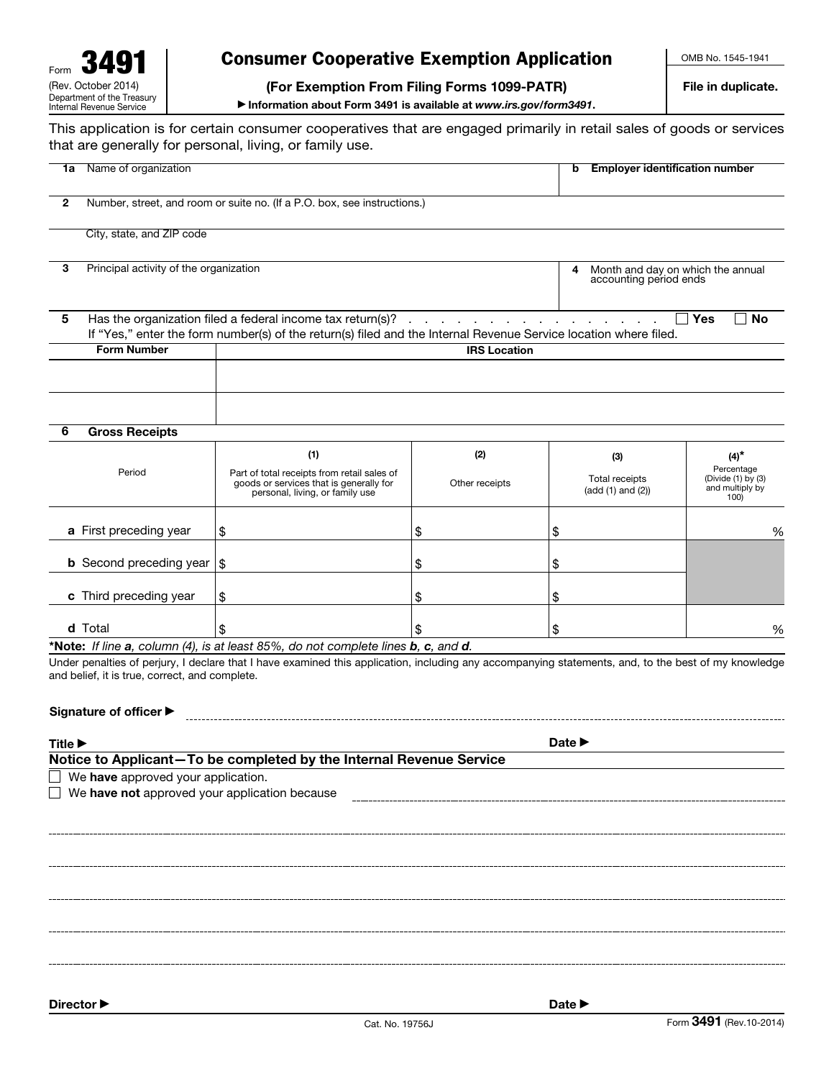# Consumer Cooperative Exemption Application

File in duplicate.

## (For Exemption From Filing Forms 1099-PATR)

▶ Information about Form 3491 is available at *www.irs.gov/form3491*.

This application is for certain consumer cooperatives that are engaged primarily in retail sales of goods or services that are generally for personal, living, or family use.

| Name of organization<br>1a                                                          |                                                                                                                                                                                                                                           |                                                       | <b>Employer identification number</b><br>b |                                                                        |  |
|-------------------------------------------------------------------------------------|-------------------------------------------------------------------------------------------------------------------------------------------------------------------------------------------------------------------------------------------|-------------------------------------------------------|--------------------------------------------|------------------------------------------------------------------------|--|
| 2                                                                                   | Number, street, and room or suite no. (If a P.O. box, see instructions.)                                                                                                                                                                  |                                                       |                                            |                                                                        |  |
| City, state, and ZIP code                                                           |                                                                                                                                                                                                                                           |                                                       |                                            |                                                                        |  |
| Principal activity of the organization<br>З                                         |                                                                                                                                                                                                                                           |                                                       | 4                                          | Month and day on which the annual<br>accounting period ends            |  |
| 5                                                                                   | Has the organization filed a federal income tax return(s)?<br>If "Yes," enter the form number(s) of the return(s) filed and the Internal Revenue Service location where filed.                                                            | design and a state of the contract of the contract of |                                            | ∃ Yes<br><b>No</b>                                                     |  |
| <b>Form Number</b>                                                                  | <b>IRS Location</b>                                                                                                                                                                                                                       |                                                       |                                            |                                                                        |  |
|                                                                                     |                                                                                                                                                                                                                                           |                                                       |                                            |                                                                        |  |
| <b>Gross Receipts</b><br>6                                                          |                                                                                                                                                                                                                                           |                                                       |                                            |                                                                        |  |
| Period                                                                              | (1)<br>Part of total receipts from retail sales of<br>goods or services that is generally for<br>personal, living, or family use                                                                                                          | (2)<br>Other receipts                                 | (3)<br>Total receipts<br>(add (1) and (2)) | $(4)^*$<br>Percentage<br>(Divide (1) by (3)<br>and multiply by<br>100) |  |
| a First preceding year                                                              | \$                                                                                                                                                                                                                                        | \$                                                    | \$                                         | %                                                                      |  |
| <b>b</b> Second preceding year $ $ \$                                               |                                                                                                                                                                                                                                           | \$                                                    | \$                                         |                                                                        |  |
| c Third preceding year                                                              | \$                                                                                                                                                                                                                                        | \$                                                    | \$                                         |                                                                        |  |
| d Total                                                                             | \$                                                                                                                                                                                                                                        | \$                                                    | \$                                         | %                                                                      |  |
| and belief, it is true, correct, and complete.<br>Signature of officer ▶            | *Note: If line a, column (4), is at least 85%, do not complete lines b, c, and d.<br>Under penalties of perjury, I declare that I have examined this application, including any accompanying statements, and, to the best of my knowledge |                                                       |                                            |                                                                        |  |
| Title $\blacktriangleright$                                                         |                                                                                                                                                                                                                                           |                                                       | Date $\blacktriangleright$                 |                                                                        |  |
| We have approved your application.<br>We have not approved your application because | Notice to Applicant-To be completed by the Internal Revenue Service                                                                                                                                                                       |                                                       |                                            |                                                                        |  |
|                                                                                     |                                                                                                                                                                                                                                           |                                                       |                                            |                                                                        |  |
|                                                                                     |                                                                                                                                                                                                                                           |                                                       |                                            |                                                                        |  |
|                                                                                     |                                                                                                                                                                                                                                           |                                                       |                                            |                                                                        |  |